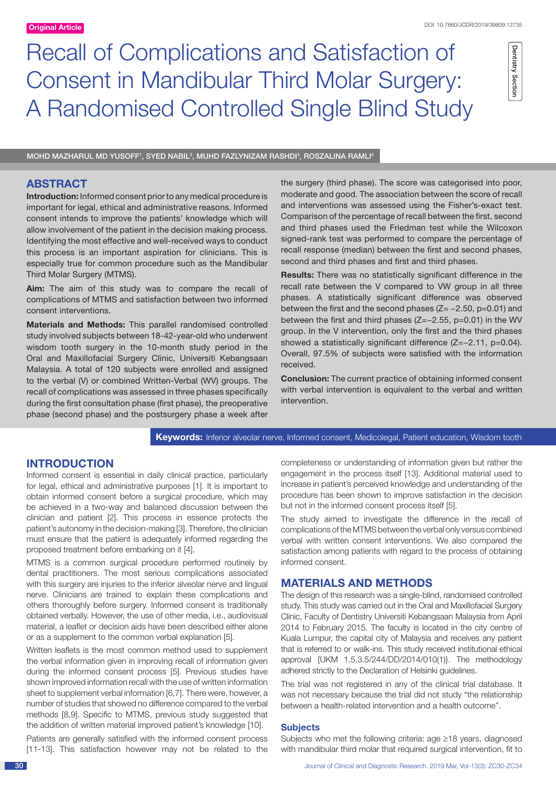# Recall of Complications and Satisfaction of Consent in Mandibular Third Molar Surgery: A Randomised Controlled Single Blind Study

Dentistry Section Dentistry Section

MOHD MAZHARUL MD YUSOFF', SYED NABIL<sup>2</sup>, MUHD FAZLYNIZAM RASHDI<sup>3</sup>, ROSZALINA RAMLI<sup>4</sup>

# **ABSTRACT**

**Introduction:** Informed consent prior to any medical procedure is important for legal, ethical and administrative reasons. Informed consent intends to improve the patients' knowledge which will allow involvement of the patient in the decision making process. Identifying the most effective and well-received ways to conduct this process is an important aspiration for clinicians. This is especially true for common procedure such as the Mandibular Third Molar Surgery (MTMS).

**Aim:** The aim of this study was to compare the recall of complications of MTMS and satisfaction between two informed consent interventions.

**Materials and Methods:** This parallel randomised controlled study involved subjects between 18-42-year-old who underwent wisdom tooth surgery in the 10-month study period in the Oral and Maxillofacial Surgery Clinic, Universiti Kebangsaan Malaysia. A total of 120 subjects were enrolled and assigned to the verbal (V) or combined Written-Verbal (WV) groups. The recall of complications was assessed in three phases specifically during the first consultation phase (first phase), the preoperative phase (second phase) and the postsurgery phase a week after the surgery (third phase). The score was categorised into poor, moderate and good. The association between the score of recall and interventions was assessed using the Fisher's-exact test. Comparison of the percentage of recall between the first, second and third phases used the Friedman test while the Wilcoxon signed-rank test was performed to compare the percentage of recall response (median) between the first and second phases, second and third phases and first and third phases.

**Results:** There was no statistically significant difference in the recall rate between the V compared to VW group in all three phases. A statistically significant difference was observed between the first and the second phases (Z= −2.50, p=0.01) and between the first and third phases (Z=−2.55, p=0.01) in the WV group. In the V intervention, only the first and the third phases showed a statistically significant difference (Z=−2.11, p=0.04). Overall, 97.5% of subjects were satisfied with the information received.

**Conclusion:** The current practice of obtaining informed consent with verbal intervention is equivalent to the verbal and written intervention.

**Keywords:** Inferior alveolar nerve, Informed consent, Medicolegal, Patient education, Wisdom tooth

## **INTRODUCTION**

Informed consent is essential in daily clinical practice, particularly for legal, ethical and administrative purposes [1]. It is important to obtain informed consent before a surgical procedure, which may be achieved in a two-way and balanced discussion between the clinician and patient [2]. This process in essence protects the patient's autonomy in the decision-making [3]. Therefore, the clinician must ensure that the patient is adequately informed regarding the proposed treatment before embarking on it [4].

MTMS is a common surgical procedure performed routinely by dental practitioners. The most serious complications associated with this surgery are injuries to the inferior alveolar nerve and lingual nerve. Clinicians are trained to explain these complications and others thoroughly before surgery. Informed consent is traditionally obtained verbally. However, the use of other media, i.e., audiovisual material, a leaflet or decision aids have been described either alone or as a supplement to the common verbal explanation [5].

Written leaflets is the most common method used to supplement the verbal information given in improving recall of information given during the informed consent process [5]. Previous studies have shown improved information recall with the use of written information sheet to supplement verbal information [6,7]. There were, however, a number of studies that showed no difference compared to the verbal methods [8,9]. Specific to MTMS, previous study suggested that the addition of written material improved patient's knowledge [10].

Patients are generally satisfied with the informed consent process [11-13]. This satisfaction however may not be related to the completeness or understanding of information given but rather the engagement in the process itself [13]. Additional material used to increase in patient's perceived knowledge and understanding of the procedure has been shown to improve satisfaction in the decision but not in the informed consent process itself [5].

The study aimed to investigate the difference in the recall of complications of the MTMS between the verbal only versus combined verbal with written consent interventions. We also compared the satisfaction among patients with regard to the process of obtaining informed consent.

## **MATERIALS AND METHODS**

The design of this research was a single-blind, randomised controlled study. This study was carried out in the Oral and Maxillofacial Surgery Clinic, Faculty of Dentistry Universiti Kebangsaan Malaysia from April 2014 to February 2015. The faculty is located in the city centre of Kuala Lumpur, the capital city of Malaysia and receives any patient that is referred to or walk-ins. This study received institutional ethical approval {UKM 1.5.3.5/244/DD/2014/010(1)}. The methodology adhered strictly to the Declaration of Helsinki guidelines.

The trial was not registered in any of the clinical trial database. It was not necessary because the trial did not study "the relationship between a health-related intervention and a health outcome".

#### **Subjects**

Subjects who met the following criteria: age ≥18 years, diagnosed with mandibular third molar that required surgical intervention, fit to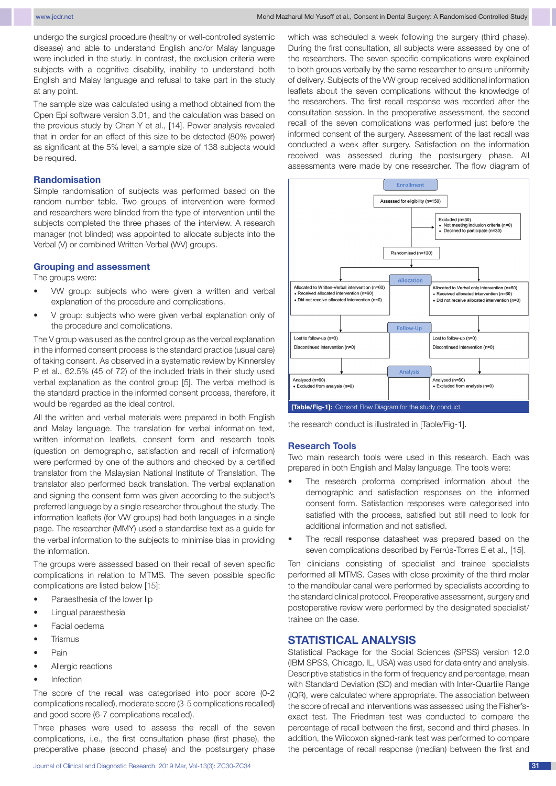undergo the surgical procedure (healthy or well-controlled systemic disease) and able to understand English and/or Malay language were included in the study. In contrast, the exclusion criteria were subjects with a cognitive disability, inability to understand both English and Malay language and refusal to take part in the study at any point.

The sample size was calculated using a method obtained from the Open Epi software version 3.01, and the calculation was based on the previous study by Chan Y et al., [14]. Power analysis revealed that in order for an effect of this size to be detected (80% power) as significant at the 5% level, a sample size of 138 subjects would be required.

## **Randomisation**

Simple randomisation of subjects was performed based on the random number table. Two groups of intervention were formed and researchers were blinded from the type of intervention until the subjects completed the three phases of the interview. A research manager (not blinded) was appointed to allocate subjects into the Verbal (V) or combined Written-Verbal (WV) groups.

### **Grouping and assessment**

The groups were:

- VW group: subjects who were given a written and verbal explanation of the procedure and complications.
- V group: subjects who were given verbal explanation only of the procedure and complications.

The V group was used as the control group as the verbal explanation in the informed consent process is the standard practice (usual care) of taking consent. As observed in a systematic review by Kinnersley P et al., 62.5% (45 of 72) of the included trials in their study used verbal explanation as the control group [5]. The verbal method is the standard practice in the informed consent process, therefore, it would be regarded as the ideal control.

All the written and verbal materials were prepared in both English and Malay language. The translation for verbal information text, written information leaflets, consent form and research tools (question on demographic, satisfaction and recall of information) were performed by one of the authors and checked by a certified translator from the Malaysian National Institute of Translation. The translator also performed back translation. The verbal explanation and signing the consent form was given according to the subject's preferred language by a single researcher throughout the study. The information leaflets (for VW groups) had both languages in a single page. The researcher (MMY) used a standardise text as a guide for the verbal information to the subjects to minimise bias in providing the information.

The groups were assessed based on their recall of seven specific complications in relation to MTMS. The seven possible specific complications are listed below [15]:

- Paraesthesia of the lower lip
- Lingual paraesthesia
- Facial oedema
- **Trismus**
- Pain
- Allergic reactions
- **Infection**

The score of the recall was categorised into poor score (0-2 complications recalled), moderate score (3-5 complications recalled) and good score (6-7 complications recalled).

Three phases were used to assess the recall of the seven complications, i.e., the first consultation phase (first phase), the preoperative phase (second phase) and the postsurgery phase which was scheduled a week following the surgery (third phase). During the first consultation, all subjects were assessed by one of the researchers. The seven specific complications were explained to both groups verbally by the same researcher to ensure uniformity of delivery. Subjects of the VW group received additional information leaflets about the seven complications without the knowledge of the researchers. The first recall response was recorded after the consultation session. In the preoperative assessment, the second recall of the seven complications was performed just before the informed consent of the surgery. Assessment of the last recall was conducted a week after surgery. Satisfaction on the information received was assessed during the postsurgery phase. All assessments were made by one researcher. The flow diagram of



the research conduct is illustrated in [Table/Fig-1].

#### **Research Tools**

Two main research tools were used in this research. Each was prepared in both English and Malay language. The tools were:

- The research proforma comprised information about the demographic and satisfaction responses on the informed consent form. Satisfaction responses were categorised into satisfied with the process, satisfied but still need to look for additional information and not satisfied.
- The recall response datasheet was prepared based on the seven complications described by Ferrús-Torres E et al., [15].

Ten clinicians consisting of specialist and trainee specialists performed all MTMS. Cases with close proximity of the third molar to the mandibular canal were performed by specialists according to the standard clinical protocol. Preoperative assessment, surgery and postoperative review were performed by the designated specialist/ trainee on the case.

# **Statistical analysis**

Statistical Package for the Social Sciences (SPSS) version 12.0 (IBM SPSS, Chicago, IL, USA) was used for data entry and analysis. Descriptive statistics in the form of frequency and percentage, mean with Standard Deviation (SD) and median with Inter-Quartile Range (IQR), were calculated where appropriate. The association between the score of recall and interventions was assessed using the Fisher'sexact test. The Friedman test was conducted to compare the percentage of recall between the first, second and third phases. In addition, the Wilcoxon signed-rank test was performed to compare the percentage of recall response (median) between the first and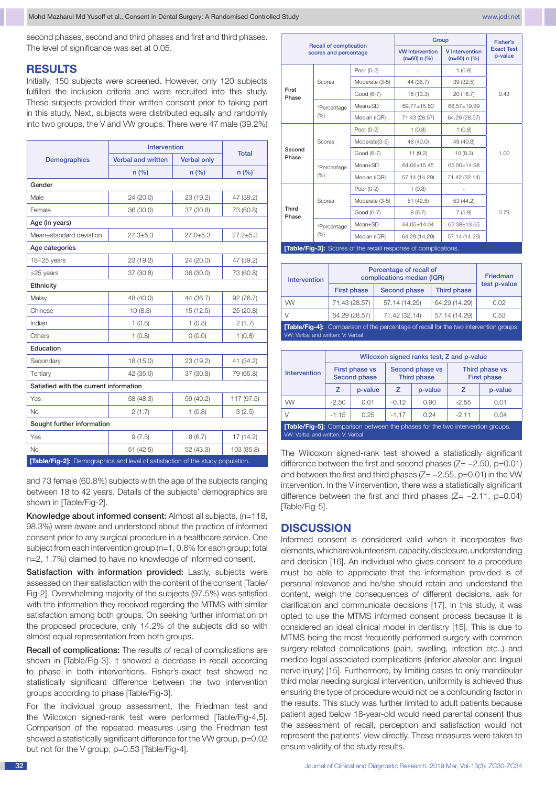second phases, second and third phases and first and third phases. The level of significance was set at 0.05.

## **RESULTS**

Initially, 150 subjects were screened. However, only 120 subjects fulfilled the inclusion criteria and were recruited into this study. These subjects provided their written consent prior to taking part in this study. Next, subjects were distributed equally and randomly into two groups, the V and VW groups. There were 47 male (39.2%)

|                                                                                | <b>Intervention</b>       | <b>Total</b>       |              |  |  |
|--------------------------------------------------------------------------------|---------------------------|--------------------|--------------|--|--|
| <b>Demographics</b>                                                            | <b>Verbal and written</b> | <b>Verbal only</b> |              |  |  |
|                                                                                | $n$ (%)<br>n (%)          |                    | $n$ (%)      |  |  |
| Gender                                                                         |                           |                    |              |  |  |
| Male                                                                           | 24 (20.0)                 | 23 (19.2)          | 47 (39.2)    |  |  |
| Female                                                                         | 36 (30.0)                 | 37 (30.8)          | 73 (60.8)    |  |  |
| Age (in years)                                                                 |                           |                    |              |  |  |
| Mean±standard deviation                                                        | $27.3 + 5.3$              | $27.0 + 5.3$       | $27.2 + 5.3$ |  |  |
| Age categories                                                                 |                           |                    |              |  |  |
| 18-25 years                                                                    | 23 (19.2)                 | 24 (20.0)          | 47 (39.2)    |  |  |
| >25 years                                                                      | 37 (30.8)                 | 36 (30.0)          | 73 (60.8)    |  |  |
| Ethnicity                                                                      |                           |                    |              |  |  |
| Malay                                                                          | 48 (40.0)                 | 44 (36.7)          | 92 (76.7)    |  |  |
| Chinese                                                                        | 10(8.3)                   | 15 (12.5)          | 25 (20.8)    |  |  |
| Indian                                                                         | 1(0.8)                    | 1(0.8)             | 2(1.7)       |  |  |
| Others                                                                         | 1(0.8)                    | 0(0.0)             | 1(0.8)       |  |  |
| Education                                                                      |                           |                    |              |  |  |
| Secondary                                                                      | 18 (15.0)                 | 23 (19.2)          | 41 (34.2)    |  |  |
| Tertiary                                                                       | 42 (35.0)                 | 37 (30.8)          | 79 (65.8)    |  |  |
| Satisfied with the current information                                         |                           |                    |              |  |  |
| Yes                                                                            | 58 (48.3)                 | 59 (49.2)          | 117 (97.5)   |  |  |
| No                                                                             | 2(1.7)                    | 1(0.8)             | 3(2.5)       |  |  |
| Sought further information                                                     |                           |                    |              |  |  |
| Yes                                                                            | 9(7.5)                    | 8(6.7)             | 17(14.2)     |  |  |
| <b>No</b>                                                                      | 51(42.5)                  | 52 (43.3)          | 103 (85.8)   |  |  |
| [Table/Fig-2]: Demographics and level of satisfaction of the study population. |                           |                    |              |  |  |

and 73 female (60.8%) subjects with the age of the subjects ranging between 18 to 42 years. Details of the subjects' demographics are shown in [Table/Fig-2].

Knowledge about informed consent: Almost all subjects, (n=118, 98.3%) were aware and understood about the practice of informed consent prior to any surgical procedure in a healthcare service. One subject from each intervention group (n=1, 0.8% for each group; total n=2, 1.7%) claimed to have no knowledge of informed consent.

Satisfaction with information provided: Lastly, subjects were assessed on their satisfaction with the content of the consent [Table/ Fig-2]. Overwhelming majority of the subjects (97.5%) was satisfied with the information they received regarding the MTMS with similar satisfaction among both groups. On seeking further information on the proposed procedure, only 14.2% of the subjects did so with almost equal representation from both groups.

Recall of complications: The results of recall of complications are shown in [Table/Fig-3]. It showed a decrease in recall according to phase in both interventions. Fisher's-exact test showed no statistically significant difference between the two intervention groups according to phase [Table/Fig-3].

For the individual group assessment, the Friedman test and the Wilcoxon signed-rank test were performed [Table/Fig-4,5]. Comparison of the repeated measures using the Friedman test showed a statistically significant difference for the VW group, p=0.02 but not for the V group, p=0.53 [Table/Fig-4].

| <b>Recall of complication</b><br>scores and percentage                |                     | Group                                    | Fisher's                                |                              |      |  |
|-----------------------------------------------------------------------|---------------------|------------------------------------------|-----------------------------------------|------------------------------|------|--|
|                                                                       |                     | <b>VW Intervention</b><br>$(n=60) n (%)$ | <b>V</b> Intervention<br>$(n=60) n (%)$ | <b>Exact Test</b><br>p-value |      |  |
| First<br>Phase                                                        | Scores              | Poor (0-2)                               |                                         | 1(0.8)                       |      |  |
|                                                                       |                     | Moderate (3-5)                           | 44 (36.7)                               | 39 (32.5)                    |      |  |
|                                                                       |                     | Good (6-7)                               | 16 (13.3)                               | 20(16.7)                     | 0.43 |  |
|                                                                       | *Percentage<br>(% ) | $Mean+SD$                                | 69.77±15.80                             | 68.57±19.99                  |      |  |
|                                                                       |                     | Median (IQR)                             | 71.43 (28.57)                           | 64.29 (28.57)                |      |  |
| Second<br>Phase                                                       | Scores              | Poor (0-2)                               | 1(0.8)                                  | 1(0.8)                       |      |  |
|                                                                       |                     | Moderate(3-5)                            | 48 (40.0)                               | 49 (40.8)                    |      |  |
|                                                                       |                     | Good (6-7)                               | 11(9.2)                                 | 10(8.3)                      | 1.00 |  |
|                                                                       | *Percentage<br>(% ) | $Mean+SD$                                | 64.05+15.45                             | 65.00+14.98                  |      |  |
|                                                                       |                     | Median (IQR)                             | 57.14 (14.29)                           | 71.42 (32.14)                |      |  |
| Third<br>Phase                                                        | Scores              | Poor (0-2)                               | 1(0.8)                                  |                              |      |  |
|                                                                       |                     | Moderate (3-5)                           | 51 (42.5)                               | 53 (44.2)                    |      |  |
|                                                                       |                     | Good (6-7)                               | 8(6.7)                                  | 7(5.8)                       | 0.79 |  |
|                                                                       | *Percentage<br>(% ) | $Mean+SD$                                | 64.05±14.04                             | 62.38±13.65                  |      |  |
|                                                                       |                     | Median (IQR)                             | 64.29 (14.29)                           | 57.14 (14.29)                |      |  |
| <b>[Table/Fig-3]:</b> Scores of the recall response of complications. |                     |                                          |                                         |                              |      |  |

| <b>Intervention</b>                                                                                                                | Percentage of recall of<br>complications median (IQR) | Friedman            |               |              |  |
|------------------------------------------------------------------------------------------------------------------------------------|-------------------------------------------------------|---------------------|---------------|--------------|--|
|                                                                                                                                    | <b>First phase</b>                                    | <b>Second phase</b> | Third phase   | test p-value |  |
| <b>WV</b>                                                                                                                          | 71.43 (28.57)                                         | 57.14 (14.29)       | 64.29 (14.29) | 0.02         |  |
| V                                                                                                                                  | 64.29 (28.57)                                         | 71.42 (32.14)       | 57.14 (14.29) | 0.53         |  |
| <b>[Table/Fig-4]:</b> Comparison of the percentage of recall for the two intervention groups.<br>VW: Verbal and written; V: Verbal |                                                       |                     |               |              |  |

| Intervention                                                                                                              | Wilcoxon signed ranks test, Z and p-value |         |                                |         |                                      |         |
|---------------------------------------------------------------------------------------------------------------------------|-------------------------------------------|---------|--------------------------------|---------|--------------------------------------|---------|
|                                                                                                                           | First phase vs<br><b>Second phase</b>     |         | Second phase vs<br>Third phase |         | Third phase vs<br><b>First phase</b> |         |
|                                                                                                                           | z                                         | p-value | $\overline{z}$                 | p-value | $\overline{z}$                       | p-value |
| <b>WW</b>                                                                                                                 | $-2.50$                                   | 0.01    | $-0.12$                        | 0.90    | $-2.55$                              | 0.01    |
| $\vee$                                                                                                                    | $-1.15$                                   | 0.25    | $-1.17$                        | 0.24    | $-2.11$                              | 0.04    |
| <b>[Table/Fig-5]:</b> Comparison between the phases for the two intervention groups.<br>VW: Verbal and written; V: Verbal |                                           |         |                                |         |                                      |         |

The Wilcoxon signed-rank test showed a statistically significant difference between the first and second phases (Z= −2.50, p=0.01) and between the first and third phases (Z= −2.55, p=0.01) in the VW intervention. In the V intervention, there was a statistically significant difference between the first and third phases (Z= −2.11, p=0.04) [Table/Fig-5].

## **DISCUSSION**

Informed consent is considered valid when it incorporates five elements, which are volunteerism, capacity, disclosure, understanding and decision [16]. An individual who gives consent to a procedure must be able to appreciate that the information provided is of personal relevance and he/she should retain and understand the content, weigh the consequences of different decisions, ask for clarification and communicate decisions [17]. In this study, it was opted to use the MTMS informed consent process because it is considered an ideal clinical model in dentistry [15]. This is due to MTMS being the most frequently performed surgery with common surgery-related complications (pain, swelling, infection etc.,) and medico-legal associated complications (inferior alveolar and lingual nerve injury) [15]. Furthermore, by limiting cases to only mandibular third molar needing surgical intervention, uniformity is achieved thus ensuring the type of procedure would not be a confounding factor in the results. This study was further limited to adult patients because patient aged below 18-year-old would need parental consent thus the assessment of recall, perception and satisfaction would not represent the patients' view directly. These measures were taken to ensure validity of the study results.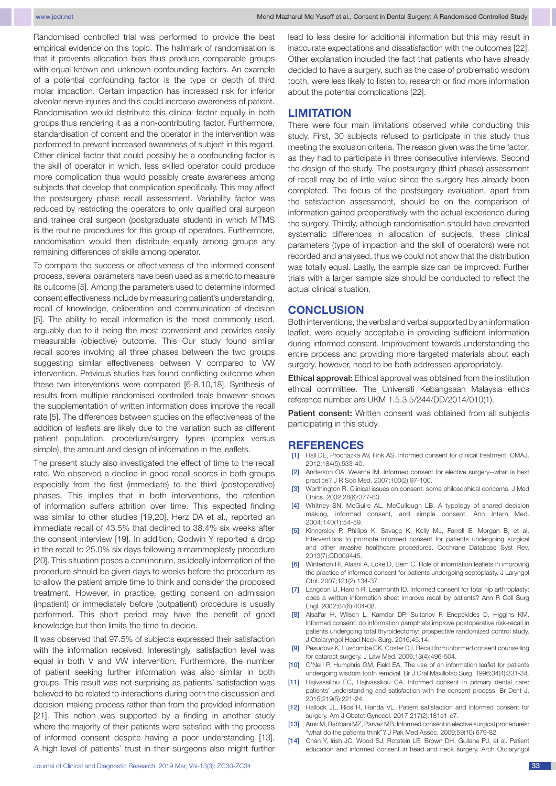Randomised controlled trial was performed to provide the best empirical evidence on this topic. The hallmark of randomisation is that it prevents allocation bias thus produce comparable groups with equal known and unknown confounding factors. An example of a potential confounding factor is the type or depth of third molar impaction. Certain impaction has increased risk for inferior alveolar nerve injuries and this could increase awareness of patient. Randomisation would distribute this clinical factor equally in both groups thus rendering it as a non-contributing factor. Furthermore, standardisation of content and the operator in the intervention was performed to prevent increased awareness of subject in this regard. Other clinical factor that could possibly be a confounding factor is the skill of operator in which, less skilled operator could produce more complication thus would possibly create awareness among subjects that develop that complication specifically. This may affect the postsurgery phase recall assessment. Variability factor was reduced by restricting the operators to only qualified oral surgeon and trainee oral surgeon (postgraduate student) in which MTMS is the routine procedures for this group of operators. Furthermore, randomisation would then distribute equally among groups any remaining differences of skills among operator.

To compare the success or effectiveness of the informed consent process, several parameters have been used as a metric to measure its outcome [5]. Among the parameters used to determine informed consent effectiveness include by measuring patient's understanding, recall of knowledge, deliberation and communication of decision [5]. The ability to recall information is the most commonly used, arguably due to it being the most convenient and provides easily measurable (objective) outcome. This Our study found similar recall scores involving all three phases between the two groups suggesting similar effectiveness between V compared to VW intervention. Previous studies has found conflicting outcome when these two interventions were compared [6-8,10,18]. Synthesis of results from multiple randomised controlled trials however shows the supplementation of written information does improve the recall rate [5]. The differences between studies on the effectiveness of the addition of leaflets are likely due to the variation such as different patient population, procedure/surgery types (complex versus simple), the amount and design of information in the leaflets.

The present study also investigated the effect of time to the recall rate. We observed a decline in good recall scores in both groups especially from the first (immediate) to the third (postoperative) phases. This implies that in both interventions, the retention of information suffers attrition over time. This expected finding was similar to other studies [19,20]. Herz DA et al., reported an immediate recall of 43.5% that declined to 38.4% six weeks after the consent interview [19]. In addition, Godwin Y reported a drop in the recall to 25.0% six days following a mammoplasty procedure [20]. This situation poses a conundrum, as ideally information of the procedure should be given days to weeks before the procedure as to allow the patient ample time to think and consider the proposed treatment. However, in practice, getting consent on admission (inpatient) or immediately before (outpatient) procedure is usually performed. This short period may have the benefit of good knowledge but then limits the time to decide.

It was observed that 97.5% of subjects expressed their satisfaction with the information received. Interestingly, satisfaction level was equal in both V and VW intervention. Furthermore, the number of patient seeking further information was also similar in both groups. This result was not surprising as patients' satisfaction was believed to be related to interactions during both the discussion and decision-making process rather than from the provided information [21]. This notion was supported by a finding in another study where the majority of their patients were satisfied with the process of informed consent despite having a poor understanding [13]. A high level of patients' trust in their surgeons also might further

lead to less desire for additional information but this may result in inaccurate expectations and dissatisfaction with the outcomes [22]. Other explanation included the fact that patients who have already decided to have a surgery, such as the case of problematic wisdom tooth, were less likely to listen to, research or find more information about the potential complications [22].

## **LIMITATION**

There were four main limitations observed while conducting this study. First, 30 subjects refused to participate in this study thus meeting the exclusion criteria. The reason given was the time factor, as they had to participate in three consecutive interviews. Second the design of the study. The postsurgery (third phase) assessment of recall may be of little value since the surgery has already been completed. The focus of the postsurgery evaluation, apart from the satisfaction assessment, should be on the comparison of information gained preoperatively with the actual experience during the surgery. Thirdly, although randomisation should have prevented systematic differences in allocation of subjects, these clinical parameters (type of impaction and the skill of operators) were not recorded and analysed, thus we could not show that the distribution was totally equal. Lastly, the sample size can be improved. Further trials with a larger sample size should be conducted to reflect the actual clinical situation.

## **CONCLUSION**

Both interventions, the verbal and verbal supported by an information leaflet, were equally acceptable in providing sufficient information during informed consent. Improvement towards understanding the entire process and providing more targeted materials about each surgery, however, need to be both addressed appropriately.

Ethical approval: Ethical approval was obtained from the institution ethical committee. The Universiti Kebangsaan Malaysia ethics reference number are UKM 1.5.3.5/244/DD/2014/010(1).

Patient consent: Written consent was obtained from all subjects participating in this study.

### **REFERENCES**

- [1] Hall DE, Prochazka AV, Fink AS. Informed consent for clinical treatment. CMAJ. 2012;184(5):533-40.
- [2] Anderson OA, Wearne IM. Informed consent for elective surgery--what is best practice? J R Soc Med. 2007;100(2):97-100.
- [3] Worthington R. Clinical issues on consent: some philosophical concerns. J Med Ethics. 2002;28(6):377-80.
- [4] Whitney SN, McGuire AL, McCullough LB. A typology of shared decision making, informed consent, and simple consent. Ann Intern Med. 2004;140(1):54-59.
- Kinnersley P, Phillips K, Savage K, Kelly MJ, Farrell E, Morgan B, et al. Interventions to promote informed consent for patients undergoing surgical and other invasive healthcare procedures. Cochrane Database Syst Rev. 2013(7):CD009445.
- [6] Winterton RI, Alaani A, Loke D, Bem C. Role of information leaflets in improving the practice of informed consent for patients undergoing septoplasty. J Laryngol Otol. 2007;121(2):134-37.
- [7] Langdon IJ, Hardin R, Learmonth ID. Informed consent for total hip arthroplasty: does a written information sheet improve recall by patients? Ann R Coll Surg Engl. 2002;84(6):404-08.
- Alsaffar H, Wilson L, Kamdar DP, Sultanov F, Enepekides D, Higgins KM. Informed consent: do information pamphlets improve postoperative risk-recall in patients undergoing total thyroidectomy: prospective randomized control study. J Otolaryngol Head Neck Surg. 2016;45:14.
- [9] Pesudovs K, Luscombe CK, Coster DJ. Recall from informed consent counselling for cataract surgery. J Law Med. 2006;13(4):496-504.
- [10] O'Neill P, Humphris GM, Field EA. The use of an information leaflet for patients undergoing wisdom tooth removal. Br J Oral Maxillofac Surg. 1996;34(4):331-34.
- [11] Hajivassiliou EC, Hajivassiliou CA. Informed consent in primary dental care: patients' understanding and satisfaction with the consent process. Br Dent J. 2015;219(5):221-24.
- [12] Hallock JL, Rios R, Handa VL. Patient satisfaction and informed consent for surgery. Am J Obstet Gynecol. 2017;217(2):181e1-e7.
- [13] Amir M, Rabbani MZ, Parvez MB. Informed consent in elective surgical procedures: "what do the patients think"? J Pak Med Assoc. 2009;59(10):679-82.
- [14] Chan Y, Irish JC, Wood SJ, Rotstein LE, Brown DH, Gullane PJ, et al. Patient education and informed consent in head and neck surgery. Arch Otolaryngol